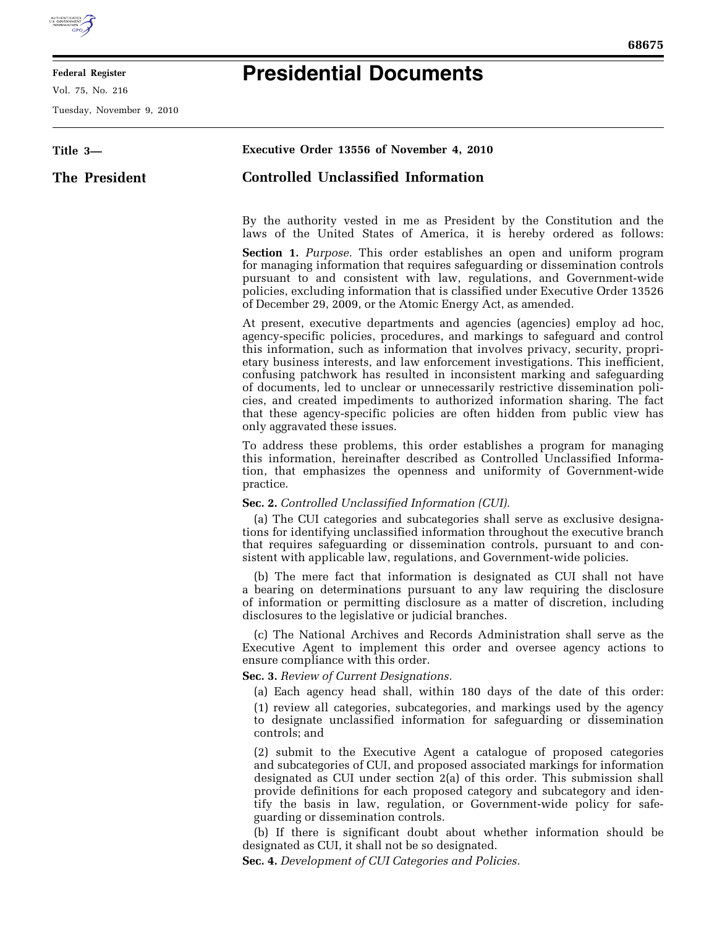

Ξ

## **Federal Register**

Vol. 75, No. 216

Tuesday, November 9, 2010

## **Presidential Documents**

| Title 3—      | Executive Order 13556 of November 4, 2010                                                                                                                                                                                                                                                                                                                                                                                                                                                                                                                                                                                                                                             |
|---------------|---------------------------------------------------------------------------------------------------------------------------------------------------------------------------------------------------------------------------------------------------------------------------------------------------------------------------------------------------------------------------------------------------------------------------------------------------------------------------------------------------------------------------------------------------------------------------------------------------------------------------------------------------------------------------------------|
| The President | <b>Controlled Unclassified Information</b>                                                                                                                                                                                                                                                                                                                                                                                                                                                                                                                                                                                                                                            |
|               | By the authority vested in me as President by the Constitution and the<br>laws of the United States of America, it is hereby ordered as follows:                                                                                                                                                                                                                                                                                                                                                                                                                                                                                                                                      |
|               | <b>Section 1.</b> Purpose. This order establishes an open and uniform program<br>for managing information that requires safeguarding or dissemination controls<br>pursuant to and consistent with law, regulations, and Government-wide<br>policies, excluding information that is classified under Executive Order 13526<br>of December 29, 2009, or the Atomic Energy Act, as amended.                                                                                                                                                                                                                                                                                              |
|               | At present, executive departments and agencies (agencies) employ ad hoc,<br>agency-specific policies, procedures, and markings to safeguard and control<br>this information, such as information that involves privacy, security, propri-<br>etary business interests, and law enforcement investigations. This inefficient,<br>confusing patchwork has resulted in inconsistent marking and safeguarding<br>of documents, led to unclear or unnecessarily restrictive dissemination poli-<br>cies, and created impediments to authorized information sharing. The fact<br>that these agency-specific policies are often hidden from public view has<br>only aggravated these issues. |
|               | To address these problems, this order establishes a program for managing<br>this information, hereinafter described as Controlled Unclassified Informa-<br>tion, that emphasizes the openness and uniformity of Government-wide<br>practice.                                                                                                                                                                                                                                                                                                                                                                                                                                          |
|               | Sec. 2. Controlled Unclassified Information (CUI).<br>(a) The CUI categories and subcategories shall serve as exclusive designa-<br>tions for identifying unclassified information throughout the executive branch<br>that requires safeguarding or dissemination controls, pursuant to and con-<br>sistent with applicable law, regulations, and Government-wide policies.                                                                                                                                                                                                                                                                                                           |
|               | (b) The mere fact that information is designated as CUI shall not have<br>a bearing on determinations pursuant to any law requiring the disclosure<br>of information or permitting disclosure as a matter of discretion, including<br>disclosures to the legislative or judicial branches.                                                                                                                                                                                                                                                                                                                                                                                            |
|               | (c) The National Archives and Records Administration shall serve as the<br>Executive Agent to implement this order and oversee agency actions to<br>ensure compliance with this order.                                                                                                                                                                                                                                                                                                                                                                                                                                                                                                |
|               | Sec. 3. Review of Current Designations.<br>(a) Each agency head shall, within 180 days of the date of this order:<br>(1) review all categories, subcategories, and markings used by the agency<br>to designate unclassified information for safeguarding or dissemination<br>controls; and                                                                                                                                                                                                                                                                                                                                                                                            |
|               | (2) submit to the Executive Agent a catalogue of proposed categories<br>and subcategories of CUI, and proposed associated markings for information<br>designated as CUI under section 2(a) of this order. This submission shall<br>provide definitions for each proposed category and subcategory and iden-<br>tify the basis in law, regulation, or Government-wide policy for safe-<br>guarding or dissemination controls.<br>(b) If there is significant doubt about whether information should be                                                                                                                                                                                 |
|               | designated as CUI, it shall not be so designated.<br>Sec. 4. Development of CUI Categories and Policies.                                                                                                                                                                                                                                                                                                                                                                                                                                                                                                                                                                              |
|               |                                                                                                                                                                                                                                                                                                                                                                                                                                                                                                                                                                                                                                                                                       |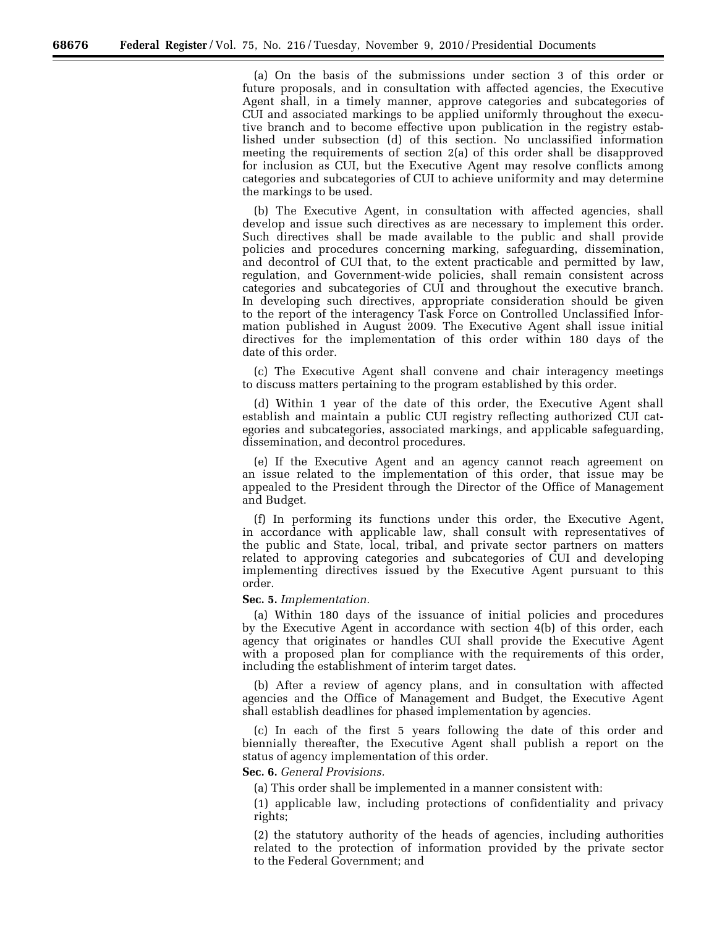(a) On the basis of the submissions under section 3 of this order or future proposals, and in consultation with affected agencies, the Executive Agent shall, in a timely manner, approve categories and subcategories of CUI and associated markings to be applied uniformly throughout the executive branch and to become effective upon publication in the registry established under subsection (d) of this section. No unclassified information meeting the requirements of section 2(a) of this order shall be disapproved for inclusion as CUI, but the Executive Agent may resolve conflicts among categories and subcategories of CUI to achieve uniformity and may determine the markings to be used.

(b) The Executive Agent, in consultation with affected agencies, shall develop and issue such directives as are necessary to implement this order. Such directives shall be made available to the public and shall provide policies and procedures concerning marking, safeguarding, dissemination, and decontrol of CUI that, to the extent practicable and permitted by law, regulation, and Government-wide policies, shall remain consistent across categories and subcategories of CUI and throughout the executive branch. In developing such directives, appropriate consideration should be given to the report of the interagency Task Force on Controlled Unclassified Information published in August 2009. The Executive Agent shall issue initial directives for the implementation of this order within 180 days of the date of this order.

(c) The Executive Agent shall convene and chair interagency meetings to discuss matters pertaining to the program established by this order.

(d) Within 1 year of the date of this order, the Executive Agent shall establish and maintain a public CUI registry reflecting authorized CUI categories and subcategories, associated markings, and applicable safeguarding, dissemination, and decontrol procedures.

(e) If the Executive Agent and an agency cannot reach agreement on an issue related to the implementation of this order, that issue may be appealed to the President through the Director of the Office of Management and Budget.

(f) In performing its functions under this order, the Executive Agent, in accordance with applicable law, shall consult with representatives of the public and State, local, tribal, and private sector partners on matters related to approving categories and subcategories of CUI and developing implementing directives issued by the Executive Agent pursuant to this order.

**Sec. 5.** *Implementation.* 

(a) Within 180 days of the issuance of initial policies and procedures by the Executive Agent in accordance with section 4(b) of this order, each agency that originates or handles CUI shall provide the Executive Agent with a proposed plan for compliance with the requirements of this order, including the establishment of interim target dates.

(b) After a review of agency plans, and in consultation with affected agencies and the Office of Management and Budget, the Executive Agent shall establish deadlines for phased implementation by agencies.

(c) In each of the first 5 years following the date of this order and biennially thereafter, the Executive Agent shall publish a report on the status of agency implementation of this order.

**Sec. 6.** *General Provisions.* 

(a) This order shall be implemented in a manner consistent with:

(1) applicable law, including protections of confidentiality and privacy rights;

(2) the statutory authority of the heads of agencies, including authorities related to the protection of information provided by the private sector to the Federal Government; and